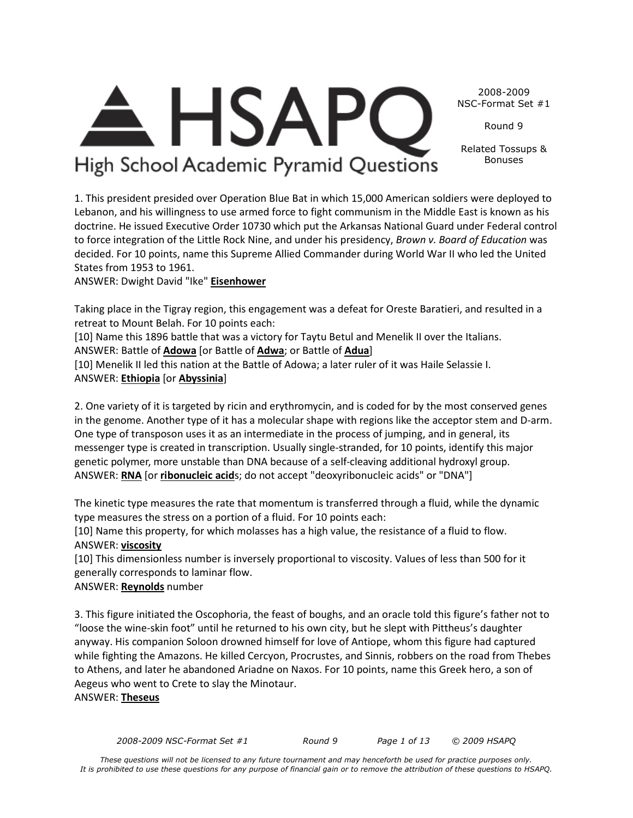*2008-2009 NSC-Format Set #1 Round 9 Page 1 of 13 © 2009 HSAPQ* 

2008-2009 NSC-Format Set #1

Round 9

Related Tossups & Bonuses

High School Academic Pyramid Questions

**HSAP** 

1. This president presided over Operation Blue Bat in which 15,000 American soldiers were deployed to Lebanon, and his willingness to use armed force to fight communism in the Middle East is known as his doctrine. He issued Executive Order 10730 which put the Arkansas National Guard under Federal control to force integration of the Little Rock Nine, and under his presidency, *Brown v. Board of Education* was decided. For 10 points, name this Supreme Allied Commander during World War II who led the United States from 1953 to 1961.

ANSWER: Dwight David "Ike" **Eisenhower**

Taking place in the Tigray region, this engagement was a defeat for Oreste Baratieri, and resulted in a retreat to Mount Belah. For 10 points each:

[10] Name this 1896 battle that was a victory for Taytu Betul and Menelik II over the Italians. ANSWER: Battle of **Adowa** [or Battle of **Adwa**; or Battle of **Adua**]

[10] Menelik II led this nation at the Battle of Adowa; a later ruler of it was Haile Selassie I. ANSWER: **Ethiopia** [or **Abyssinia**]

2. One variety of it is targeted by ricin and erythromycin, and is coded for by the most conserved genes in the genome. Another type of it has a molecular shape with regions like the acceptor stem and D-arm. One type of transposon uses it as an intermediate in the process of jumping, and in general, its messenger type is created in transcription. Usually single-stranded, for 10 points, identify this major genetic polymer, more unstable than DNA because of a self-cleaving additional hydroxyl group. ANSWER: **RNA** [or **ribonucleic acid**s; do not accept "deoxyribonucleic acids" or "DNA"]

The kinetic type measures the rate that momentum is transferred through a fluid, while the dynamic type measures the stress on a portion of a fluid. For 10 points each:

[10] Name this property, for which molasses has a high value, the resistance of a fluid to flow. ANSWER: **viscosity**

[10] This dimensionless number is inversely proportional to viscosity. Values of less than 500 for it generally corresponds to laminar flow.

# ANSWER: **Reynolds** number

3. This figure initiated the Oscophoria, the feast of boughs, and an oracle told this figure's father not to "loose the wine-skin foot" until he returned to his own city, but he slept with Pittheus's daughter anyway. His companion Soloon drowned himself for love of Antiope, whom this figure had captured while fighting the Amazons. He killed Cercyon, Procrustes, and Sinnis, robbers on the road from Thebes to Athens, and later he abandoned Ariadne on Naxos. For 10 points, name this Greek hero, a son of Aegeus who went to Crete to slay the Minotaur. ANSWER: **Theseus**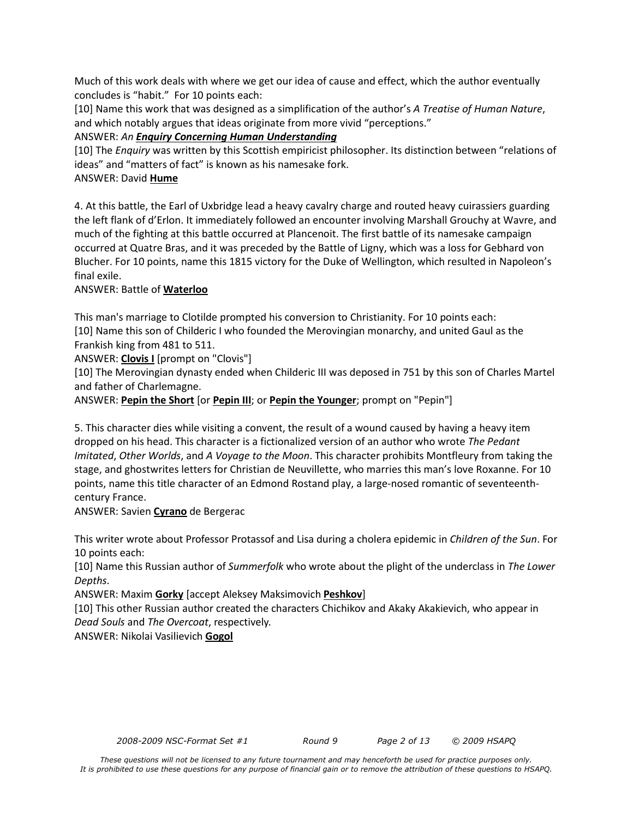Much of this work deals with where we get our idea of cause and effect, which the author eventually concludes is "habit." For 10 points each:

[10] Name this work that was designed as a simplification of the author's *A Treatise of Human Nature*, and which notably argues that ideas originate from more vivid "perceptions."

ANSWER: *An Enquiry Concerning Human Understanding*

[10] The *Enquiry* was written by this Scottish empiricist philosopher. Its distinction between "relations of ideas" and "matters of fact" is known as his namesake fork.

#### ANSWER: David **Hume**

4. At this battle, the Earl of Uxbridge lead a heavy cavalry charge and routed heavy cuirassiers guarding the left flank of d'Erlon. It immediately followed an encounter involving Marshall Grouchy at Wavre, and much of the fighting at this battle occurred at Plancenoit. The first battle of its namesake campaign occurred at Quatre Bras, and it was preceded by the Battle of Ligny, which was a loss for Gebhard von Blucher. For 10 points, name this 1815 victory for the Duke of Wellington, which resulted in Napoleon's final exile.

#### ANSWER: Battle of **Waterloo**

This man's marriage to Clotilde prompted his conversion to Christianity. For 10 points each: [10] Name this son of Childeric I who founded the Merovingian monarchy, and united Gaul as the Frankish king from 481 to 511.

ANSWER: **Clovis I** [prompt on "Clovis"]

[10] The Merovingian dynasty ended when Childeric III was deposed in 751 by this son of Charles Martel and father of Charlemagne.

ANSWER: **Pepin the Short** [or **Pepin III**; or **Pepin the Younger**; prompt on "Pepin"]

5. This character dies while visiting a convent, the result of a wound caused by having a heavy item dropped on his head. This character is a fictionalized version of an author who wrote *The Pedant Imitated*, *Other Worlds*, and *A Voyage to the Moon*. This character prohibits Montfleury from taking the stage, and ghostwrites letters for Christian de Neuvillette, who marries this man's love Roxanne. For 10 points, name this title character of an Edmond Rostand play, a large-nosed romantic of seventeenthcentury France.

ANSWER: Savien **Cyrano** de Bergerac

This writer wrote about Professor Protassof and Lisa during a cholera epidemic in *Children of the Sun*. For 10 points each:

[10] Name this Russian author of *Summerfolk* who wrote about the plight of the underclass in *The Lower Depths*.

ANSWER: Maxim **Gorky** [accept Aleksey Maksimovich **Peshkov**]

[10] This other Russian author created the characters Chichikov and Akaky Akakievich, who appear in *Dead Souls* and *The Overcoat*, respectively.

ANSWER: Nikolai Vasilievich **Gogol**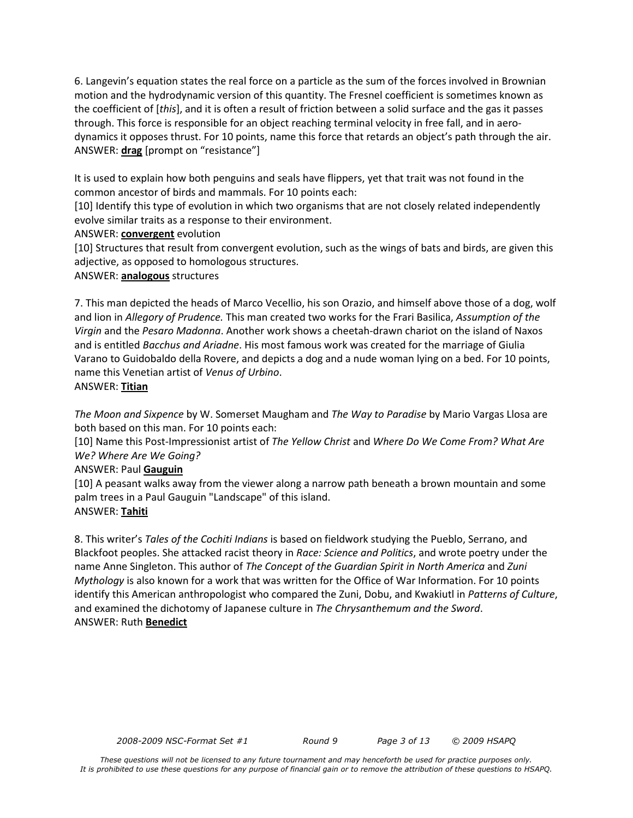6. Langevin's equation states the real force on a particle as the sum of the forces involved in Brownian motion and the hydrodynamic version of this quantity. The Fresnel coefficient is sometimes known as the coefficient of [*this*], and it is often a result of friction between a solid surface and the gas it passes through. This force is responsible for an object reaching terminal velocity in free fall, and in aerodynamics it opposes thrust. For 10 points, name this force that retards an object's path through the air. ANSWER: **drag** [prompt on "resistance"]

It is used to explain how both penguins and seals have flippers, yet that trait was not found in the common ancestor of birds and mammals. For 10 points each:

[10] Identify this type of evolution in which two organisms that are not closely related independently evolve similar traits as a response to their environment.

#### ANSWER: **convergent** evolution

[10] Structures that result from convergent evolution, such as the wings of bats and birds, are given this adjective, as opposed to homologous structures.

#### ANSWER: **analogous** structures

7. This man depicted the heads of Marco Vecellio, his son Orazio, and himself above those of a dog, wolf and lion in *Allegory of Prudence.* This man created two works for the Frari Basilica, *Assumption of the Virgin* and the *Pesaro Madonna*. Another work shows a cheetah-drawn chariot on the island of Naxos and is entitled *Bacchus and Ariadne*. His most famous work was created for the marriage of Giulia Varano to Guidobaldo della Rovere, and depicts a dog and a nude woman lying on a bed. For 10 points, name this Venetian artist of *Venus of Urbino*.

#### ANSWER: **Titian**

*The Moon and Sixpence* by W. Somerset Maugham and *The Way to Paradise* by Mario Vargas Llosa are both based on this man. For 10 points each:

[10] Name this Post-Impressionist artist of *The Yellow Christ* and *Where Do We Come From? What Are We? Where Are We Going?*

# ANSWER: Paul **Gauguin**

[10] A peasant walks away from the viewer along a narrow path beneath a brown mountain and some palm trees in a Paul Gauguin "Landscape" of this island. ANSWER: **Tahiti**

8. This writer's *Tales of the Cochiti Indians* is based on fieldwork studying the Pueblo, Serrano, and Blackfoot peoples. She attacked racist theory in *Race: Science and Politics*, and wrote poetry under the name Anne Singleton. This author of *The Concept of the Guardian Spirit in North America* and *Zuni Mythology* is also known for a work that was written for the Office of War Information. For 10 points identify this American anthropologist who compared the Zuni, Dobu, and Kwakiutl in *Patterns of Culture*, and examined the dichotomy of Japanese culture in *The Chrysanthemum and the Sword*. ANSWER: Ruth **Benedict**

*2008-2009 NSC-Format Set #1 Round 9 Page 3 of 13 © 2009 HSAPQ*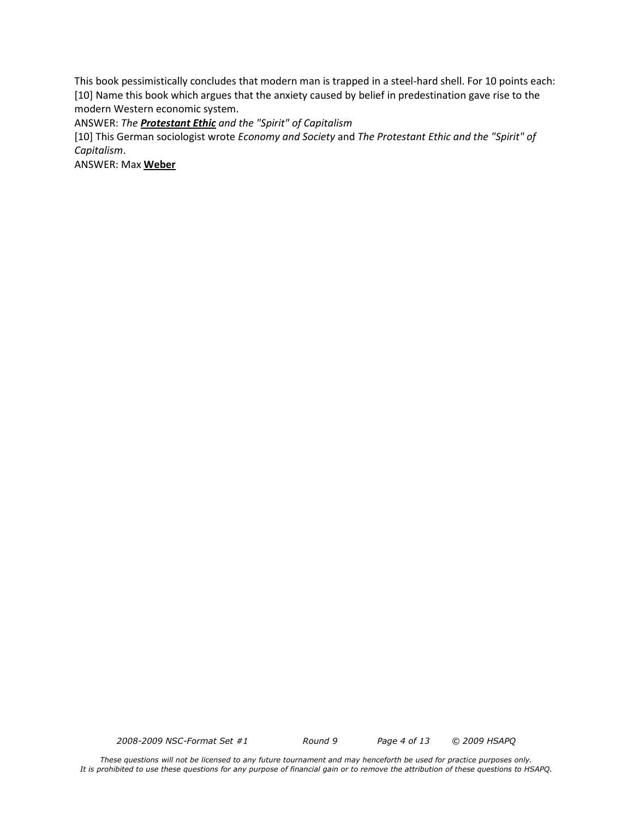This book pessimistically concludes that modern man is trapped in a steel-hard shell. For 10 points each: [10] Name this book which argues that the anxiety caused by belief in predestination gave rise to the modern Western economic system.

ANSWER: *The Protestant Ethic and the "Spirit" of Capitalism*

[10] This German sociologist wrote *Economy and Society* and *The Protestant Ethic and the "Spirit" of Capitalism*.

ANSWER: Max **Weber**

*2008-2009 NSC-Format Set #1 Round 9 Page 4 of 13 © 2009 HSAPQ*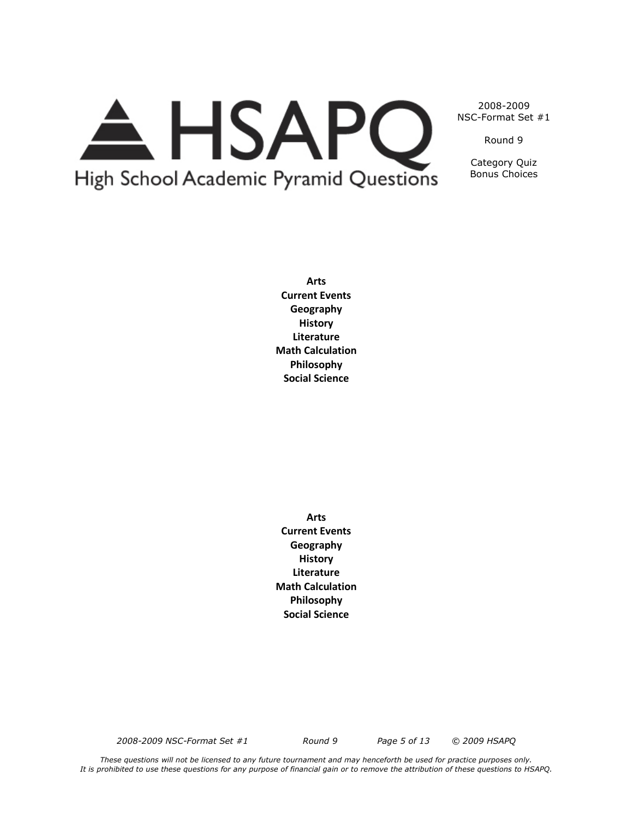# A HSAPQ High School Academic Pyramid Questions

2008-2009 NSC-Format Set #1

Round 9

Category Quiz Bonus Choices

**Arts Current Events Geography History Literature Math Calculation Philosophy Social Science**

**Arts Current Events Geography History Literature Math Calculation Philosophy Social Science**

*2008-2009 NSC-Format Set #1 Round 9 Page 5 of 13 © 2009 HSAPQ*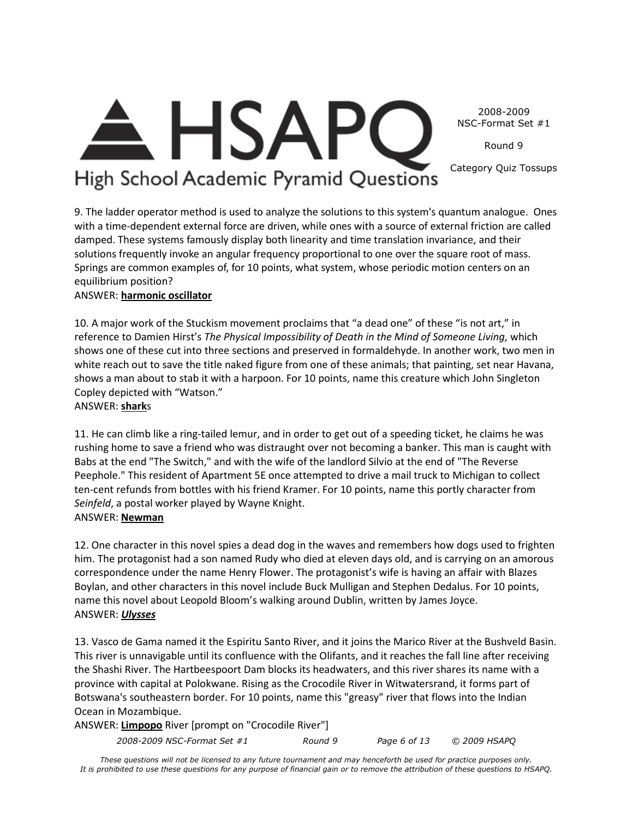2008-2009 NSC-Format Set #1

Round 9

Category Quiz Tossups

# **HSAPC** High School Academic Pyramid Questions

9. The ladder operator method is used to analyze the solutions to this system's quantum analogue. Ones with a time-dependent external force are driven, while ones with a source of external friction are called damped. These systems famously display both linearity and time translation invariance, and their solutions frequently invoke an angular frequency proportional to one over the square root of mass. Springs are common examples of, for 10 points, what system, whose periodic motion centers on an equilibrium position?

# ANSWER: **harmonic oscillator**

10. A major work of the Stuckism movement proclaims that "a dead one" of these "is not art," in reference to Damien Hirst's *The Physical Impossibility of Death in the Mind of Someone Living*, which shows one of these cut into three sections and preserved in formaldehyde. In another work, two men in white reach out to save the title naked figure from one of these animals; that painting, set near Havana, shows a man about to stab it with a harpoon. For 10 points, name this creature which John Singleton Copley depicted with "Watson."

ANSWER: **shark**s

11. He can climb like a ring-tailed lemur, and in order to get out of a speeding ticket, he claims he was rushing home to save a friend who was distraught over not becoming a banker. This man is caught with Babs at the end "The Switch," and with the wife of the landlord Silvio at the end of "The Reverse Peephole." This resident of Apartment 5E once attempted to drive a mail truck to Michigan to collect ten-cent refunds from bottles with his friend Kramer. For 10 points, name this portly character from *Seinfeld*, a postal worker played by Wayne Knight.

# ANSWER: **Newman**

12. One character in this novel spies a dead dog in the waves and remembers how dogs used to frighten him. The protagonist had a son named Rudy who died at eleven days old, and is carrying on an amorous correspondence under the name Henry Flower. The protagonist's wife is having an affair with Blazes Boylan, and other characters in this novel include Buck Mulligan and Stephen Dedalus. For 10 points, name this novel about Leopold Bloom's walking around Dublin, written by James Joyce. ANSWER: *Ulysses*

13. Vasco de Gama named it the Espiritu Santo River, and it joins the Marico River at the Bushveld Basin. This river is unnavigable until its confluence with the Olifants, and it reaches the fall line after receiving the Shashi River. The Hartbeespoort Dam blocks its headwaters, and this river shares its name with a province with capital at Polokwane. Rising as the Crocodile River in Witwatersrand, it forms part of Botswana's southeastern border. For 10 points, name this "greasy" river that flows into the Indian Ocean in Mozambique.

ANSWER: **Limpopo** River [prompt on "Crocodile River"]

*2008-2009 NSC-Format Set #1 Round 9 Page 6 of 13 © 2009 HSAPQ*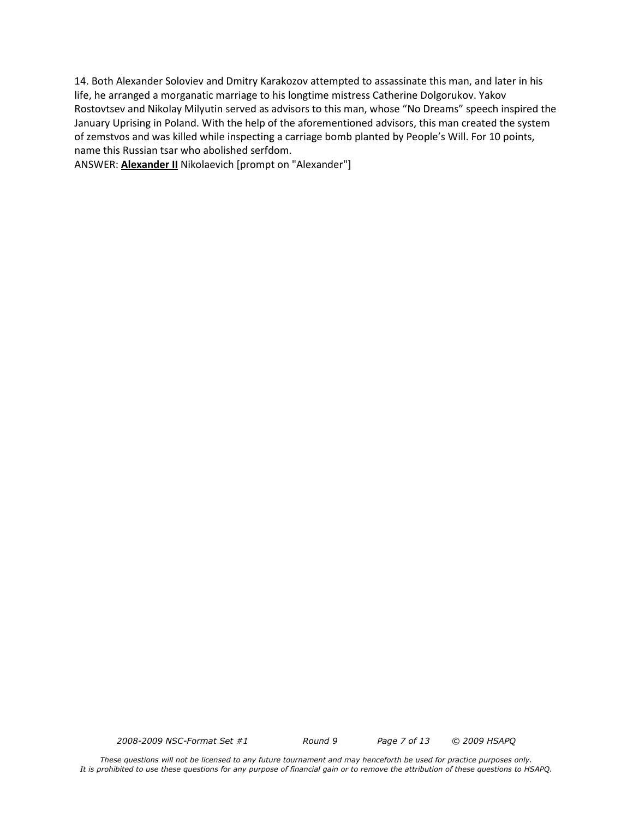14. Both Alexander Soloviev and Dmitry Karakozov attempted to assassinate this man, and later in his life, he arranged a morganatic marriage to his longtime mistress Catherine Dolgorukov. Yakov Rostovtsev and Nikolay Milyutin served as advisors to this man, whose "No Dreams" speech inspired the January Uprising in Poland. With the help of the aforementioned advisors, this man created the system of zemstvos and was killed while inspecting a carriage bomb planted by People's Will. For 10 points, name this Russian tsar who abolished serfdom.

ANSWER: **Alexander II** Nikolaevich [prompt on "Alexander"]

*2008-2009 NSC-Format Set #1 Round 9 Page 7 of 13 © 2009 HSAPQ*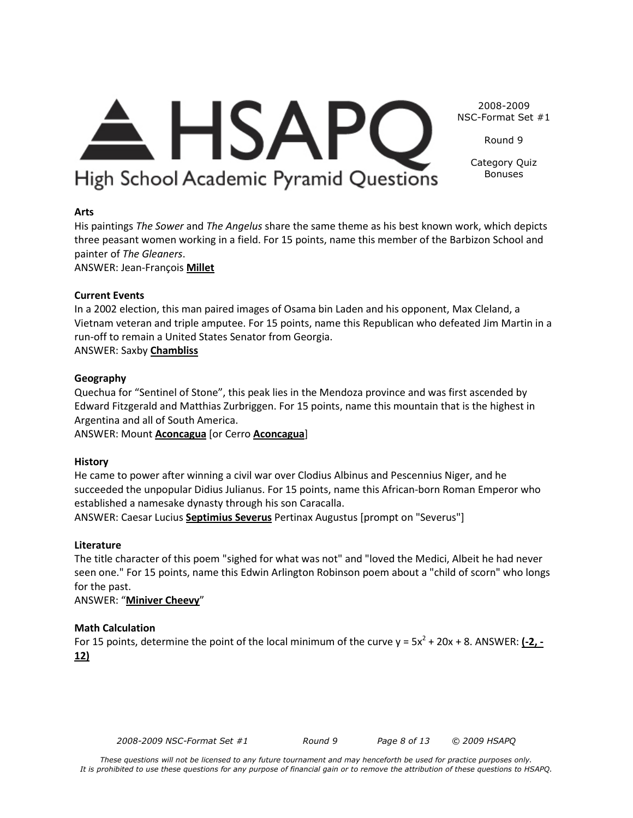# <del>A</del> HSAPC 2008-2009 NSC-Format Set #1

Category Quiz Bonuses

Round 9

# **Arts**

His paintings *The Sower* and *The Angelus* share the same theme as his best known work, which depicts three peasant women working in a field. For 15 points, name this member of the Barbizon School and painter of *The Gleaners*.

High School Academic Pyramid Questions

ANSWER: Jean-François **Millet**

# **Current Events**

In a 2002 election, this man paired images of Osama bin Laden and his opponent, Max Cleland, a Vietnam veteran and triple amputee. For 15 points, name this Republican who defeated Jim Martin in a run-off to remain a United States Senator from Georgia.

ANSWER: Saxby **Chambliss**

# **Geography**

Quechua for "Sentinel of Stone", this peak lies in the Mendoza province and was first ascended by Edward Fitzgerald and Matthias Zurbriggen. For 15 points, name this mountain that is the highest in Argentina and all of South America.

ANSWER: Mount **Aconcagua** [or Cerro **Aconcagua**]

# **History**

He came to power after winning a civil war over Clodius Albinus and Pescennius Niger, and he succeeded the unpopular Didius Julianus. For 15 points, name this African-born Roman Emperor who established a namesake dynasty through his son Caracalla.

ANSWER: Caesar Lucius **Septimius Severus** Pertinax Augustus [prompt on "Severus"]

# **Literature**

The title character of this poem "sighed for what was not" and "loved the Medici, Albeit he had never seen one." For 15 points, name this Edwin Arlington Robinson poem about a "child of scorn" who longs for the past.

ANSWER: "**Miniver Cheevy**"

# **Math Calculation**

For 15 points, determine the point of the local minimum of the curve  $y = 5x^2 + 20x + 8$ . ANSWER:  $\underline{(-2, -1)}$ **12)**

*2008-2009 NSC-Format Set #1 Round 9 Page 8 of 13 © 2009 HSAPQ*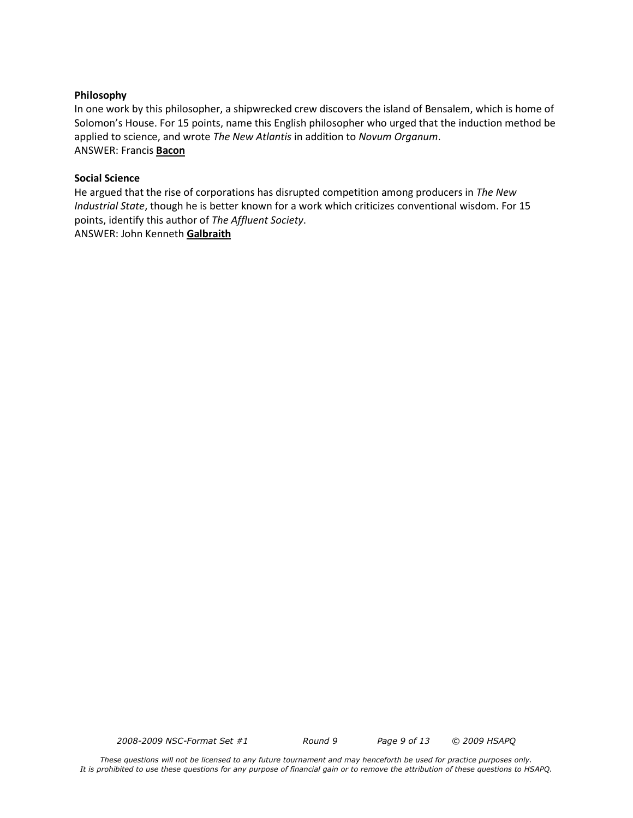#### **Philosophy**

In one work by this philosopher, a shipwrecked crew discovers the island of Bensalem, which is home of Solomon's House. For 15 points, name this English philosopher who urged that the induction method be applied to science, and wrote *The New Atlantis* in addition to *Novum Organum*. ANSWER: Francis **Bacon**

#### **Social Science**

He argued that the rise of corporations has disrupted competition among producers in *The New Industrial State*, though he is better known for a work which criticizes conventional wisdom. For 15 points, identify this author of *The Affluent Society*. ANSWER: John Kenneth **Galbraith**

*2008-2009 NSC-Format Set #1 Round 9 Page 9 of 13 © 2009 HSAPQ*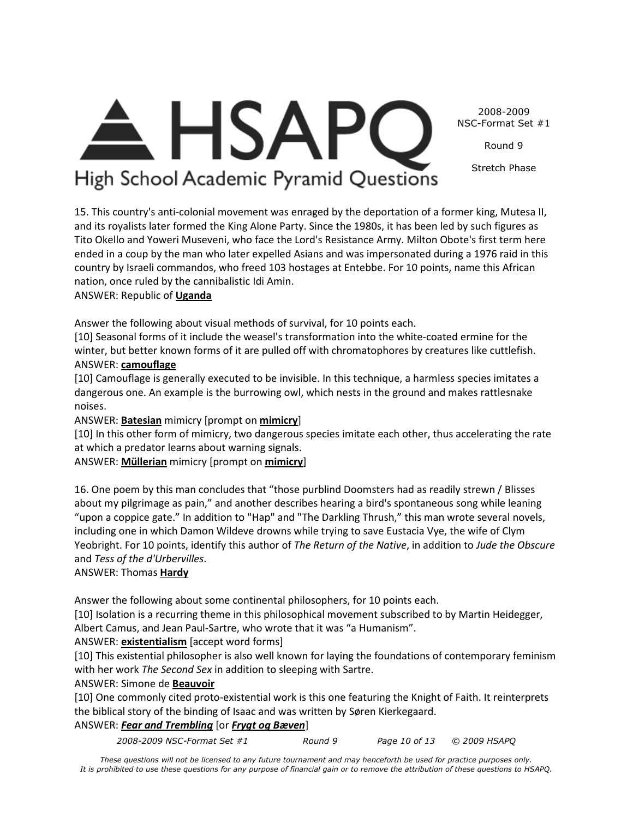2008-2009 NSC-Format Set #1

Round 9

Stretch Phase

# $\triangle$  HSAPC High School Academic Pyramid Questions

15. This country's anti-colonial movement was enraged by the deportation of a former king, Mutesa II, and its royalists later formed the King Alone Party. Since the 1980s, it has been led by such figures as Tito Okello and Yoweri Museveni, who face the Lord's Resistance Army. Milton Obote's first term here ended in a coup by the man who later expelled Asians and was impersonated during a 1976 raid in this country by Israeli commandos, who freed 103 hostages at Entebbe. For 10 points, name this African nation, once ruled by the cannibalistic Idi Amin.

ANSWER: Republic of **Uganda**

Answer the following about visual methods of survival, for 10 points each.

[10] Seasonal forms of it include the weasel's transformation into the white-coated ermine for the winter, but better known forms of it are pulled off with chromatophores by creatures like cuttlefish. ANSWER: **camouflage**

[10] Camouflage is generally executed to be invisible. In this technique, a harmless species imitates a dangerous one. An example is the burrowing owl, which nests in the ground and makes rattlesnake noises.

ANSWER: **Batesian** mimicry [prompt on **mimicry**]

[10] In this other form of mimicry, two dangerous species imitate each other, thus accelerating the rate at which a predator learns about warning signals.

ANSWER: **Müllerian** mimicry [prompt on **mimicry**]

16. One poem by this man concludes that "those purblind Doomsters had as readily strewn / Blisses about my pilgrimage as pain," and another describes hearing a bird's spontaneous song while leaning "upon a coppice gate." In addition to "Hap" and "The Darkling Thrush," this man wrote several novels, including one in which Damon Wildeve drowns while trying to save Eustacia Vye, the wife of Clym Yeobright. For 10 points, identify this author of *The Return of the Native*, in addition to *Jude the Obscure* and *Tess of the d'Urbervilles*.

# ANSWER: Thomas **Hardy**

Answer the following about some continental philosophers, for 10 points each.

[10] Isolation is a recurring theme in this philosophical movement subscribed to by Martin Heidegger, Albert Camus, and Jean Paul-Sartre, who wrote that it was "a Humanism".

# ANSWER: **existentialism** [accept word forms]

[10] This existential philosopher is also well known for laying the foundations of contemporary feminism with her work *The Second Sex* in addition to sleeping with Sartre.

# ANSWER: Simone de **Beauvoir**

[10] One commonly cited proto-existential work is this one featuring the Knight of Faith. It reinterprets the biblical story of the binding of Isaac and was written by Søren Kierkegaard.

# ANSWER: *Fear and Trembling* [or *Frygt og Bæven*]

*2008-2009 NSC-Format Set #1 Round 9 Page 10 of 13 © 2009 HSAPQ*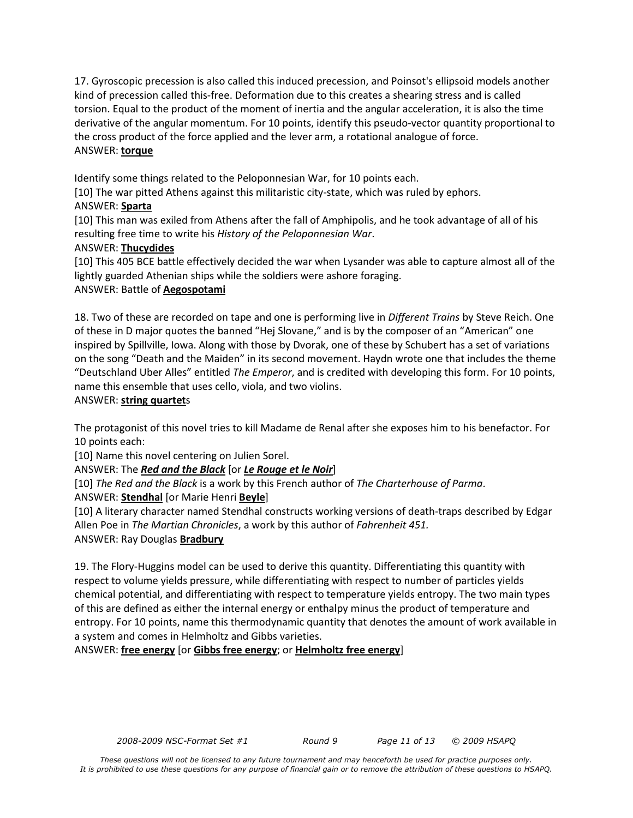17. Gyroscopic precession is also called this induced precession, and Poinsot's ellipsoid models another kind of precession called this-free. Deformation due to this creates a shearing stress and is called torsion. Equal to the product of the moment of inertia and the angular acceleration, it is also the time derivative of the angular momentum. For 10 points, identify this pseudo-vector quantity proportional to the cross product of the force applied and the lever arm, a rotational analogue of force. ANSWER: **torque**

Identify some things related to the Peloponnesian War, for 10 points each.

[10] The war pitted Athens against this militaristic city-state, which was ruled by ephors.

#### ANSWER: **Sparta**

[10] This man was exiled from Athens after the fall of Amphipolis, and he took advantage of all of his resulting free time to write his *History of the Peloponnesian War*.

# ANSWER: **Thucydides**

[10] This 405 BCE battle effectively decided the war when Lysander was able to capture almost all of the lightly guarded Athenian ships while the soldiers were ashore foraging.

# ANSWER: Battle of **Aegospotami**

18. Two of these are recorded on tape and one is performing live in *Different Trains* by Steve Reich. One of these in D major quotes the banned "Hej Slovane," and is by the composer of an "American" one inspired by Spillville, Iowa. Along with those by Dvorak, one of these by Schubert has a set of variations on the song "Death and the Maiden" in its second movement. Haydn wrote one that includes the theme "Deutschland Uber Alles" entitled *The Emperor*, and is credited with developing this form. For 10 points, name this ensemble that uses cello, viola, and two violins.

#### ANSWER: **string quartet**s

The protagonist of this novel tries to kill Madame de Renal after she exposes him to his benefactor. For 10 points each:

[10] Name this novel centering on Julien Sorel.

# ANSWER: The *Red and the Black* [or *Le Rouge et le Noir*]

[10] *The Red and the Black* is a work by this French author of *The Charterhouse of Parma*.

ANSWER: **Stendhal** [or Marie Henri **Beyle**]

[10] A literary character named Stendhal constructs working versions of death-traps described by Edgar Allen Poe in *The Martian Chronicles*, a work by this author of *Fahrenheit 451.* 

ANSWER: Ray Douglas **Bradbury**

19. The Flory-Huggins model can be used to derive this quantity. Differentiating this quantity with respect to volume yields pressure, while differentiating with respect to number of particles yields chemical potential, and differentiating with respect to temperature yields entropy. The two main types of this are defined as either the internal energy or enthalpy minus the product of temperature and entropy. For 10 points, name this thermodynamic quantity that denotes the amount of work available in a system and comes in Helmholtz and Gibbs varieties.

ANSWER: **free energy** [or **Gibbs free energy**; or **Helmholtz free energy**]

*2008-2009 NSC-Format Set #1 Round 9 Page 11 of 13 © 2009 HSAPQ*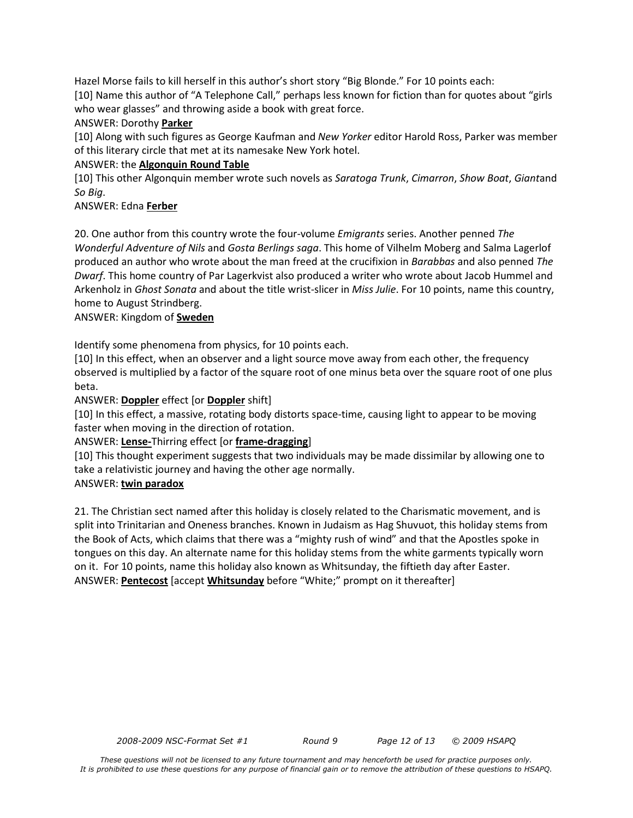Hazel Morse fails to kill herself in this author's short story "Big Blonde." For 10 points each:

[10] Name this author of "A Telephone Call," perhaps less known for fiction than for quotes about "girls who wear glasses" and throwing aside a book with great force.

# ANSWER: Dorothy **Parker**

[10] Along with such figures as George Kaufman and *New Yorker* editor Harold Ross, Parker was member of this literary circle that met at its namesake New York hotel.

#### ANSWER: the **Algonquin Round Table**

[10] This other Algonquin member wrote such novels as *Saratoga Trunk*, *Cimarron*, *Show Boat*, *Giant*and *So Big*.

#### ANSWER: Edna **Ferber**

20. One author from this country wrote the four-volume *Emigrants* series. Another penned *The Wonderful Adventure of Nils* and *Gosta Berlings saga*. This home of Vilhelm Moberg and Salma Lagerlof produced an author who wrote about the man freed at the crucifixion in *Barabbas* and also penned *The Dwarf*. This home country of Par Lagerkvist also produced a writer who wrote about Jacob Hummel and Arkenholz in *Ghost Sonata* and about the title wrist-slicer in *Miss Julie*. For 10 points, name this country, home to August Strindberg.

#### ANSWER: Kingdom of **Sweden**

Identify some phenomena from physics, for 10 points each.

[10] In this effect, when an observer and a light source move away from each other, the frequency observed is multiplied by a factor of the square root of one minus beta over the square root of one plus beta.

#### ANSWER: **Doppler** effect [or **Doppler** shift]

[10] In this effect, a massive, rotating body distorts space-time, causing light to appear to be moving faster when moving in the direction of rotation.

# ANSWER: **Lense-**Thirring effect [or **frame-dragging**]

[10] This thought experiment suggests that two individuals may be made dissimilar by allowing one to take a relativistic journey and having the other age normally.

#### ANSWER: **twin paradox**

21. The Christian sect named after this holiday is closely related to the Charismatic movement, and is split into Trinitarian and Oneness branches. Known in Judaism as Hag Shuvuot, this holiday stems from the Book of Acts, which claims that there was a "mighty rush of wind" and that the Apostles spoke in tongues on this day. An alternate name for this holiday stems from the white garments typically worn on it. For 10 points, name this holiday also known as Whitsunday, the fiftieth day after Easter. ANSWER: **Pentecost** [accept **Whitsunday** before "White;" prompt on it thereafter]